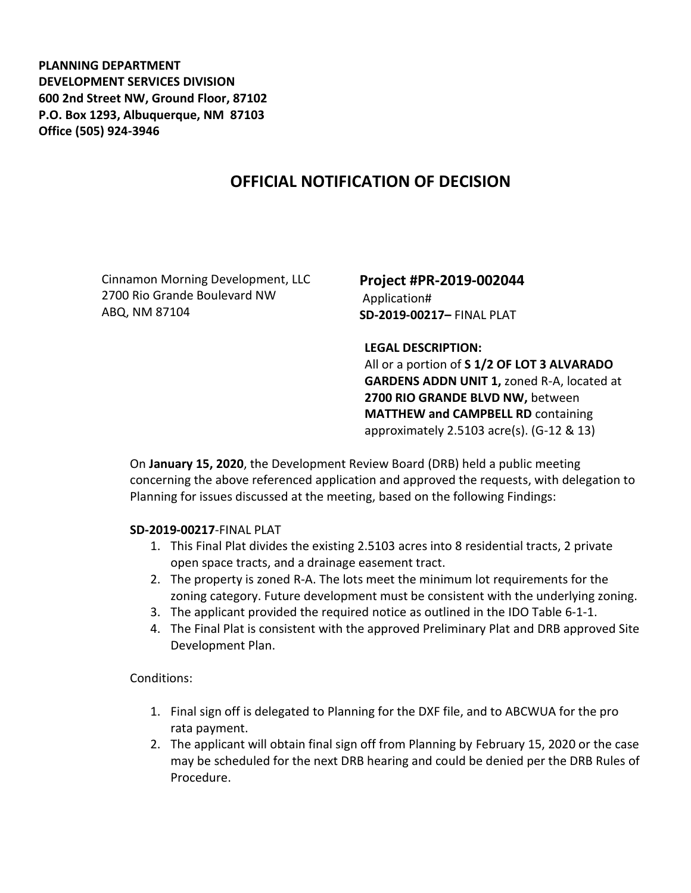**PLANNING DEPARTMENT DEVELOPMENT SERVICES DIVISION 600 2nd Street NW, Ground Floor, 87102 P.O. Box 1293, Albuquerque, NM 87103 Office (505) 924-3946** 

## **OFFICIAL NOTIFICATION OF DECISION**

Cinnamon Morning Development, LLC 2700 Rio Grande Boulevard NW ABQ, NM 87104

## **Project #PR-2019-002044** Application# **SD-2019-00217–** FINAL PLAT

**LEGAL DESCRIPTION:**

All or a portion of **S 1/2 OF LOT 3 ALVARADO GARDENS ADDN UNIT 1,** zoned R-A, located at **2700 RIO GRANDE BLVD NW,** between **MATTHEW and CAMPBELL RD** containing approximately 2.5103 acre(s). (G-12 & 13)

On **January 15, 2020**, the Development Review Board (DRB) held a public meeting concerning the above referenced application and approved the requests, with delegation to Planning for issues discussed at the meeting, based on the following Findings:

## **SD-2019-00217**-FINAL PLAT

- 1. This Final Plat divides the existing 2.5103 acres into 8 residential tracts, 2 private open space tracts, and a drainage easement tract.
- 2. The property is zoned R-A. The lots meet the minimum lot requirements for the zoning category. Future development must be consistent with the underlying zoning.
- 3. The applicant provided the required notice as outlined in the IDO Table 6-1-1.
- 4. The Final Plat is consistent with the approved Preliminary Plat and DRB approved Site Development Plan.

Conditions:

- 1. Final sign off is delegated to Planning for the DXF file, and to ABCWUA for the pro rata payment.
- 2. The applicant will obtain final sign off from Planning by February 15, 2020 or the case may be scheduled for the next DRB hearing and could be denied per the DRB Rules of Procedure.